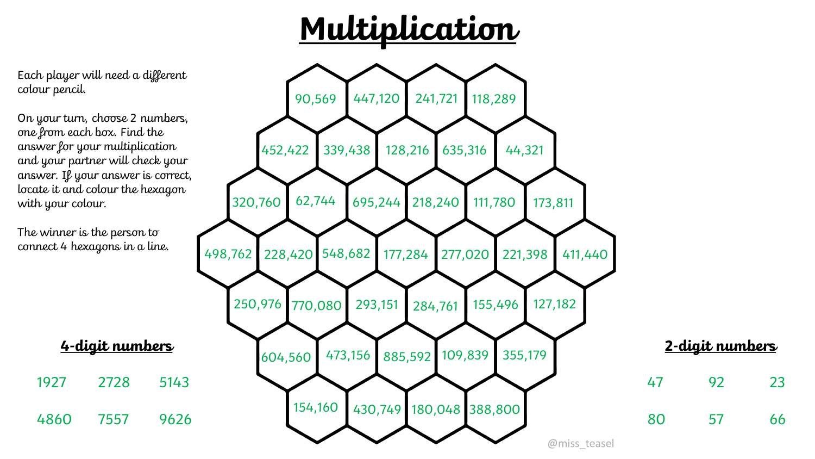

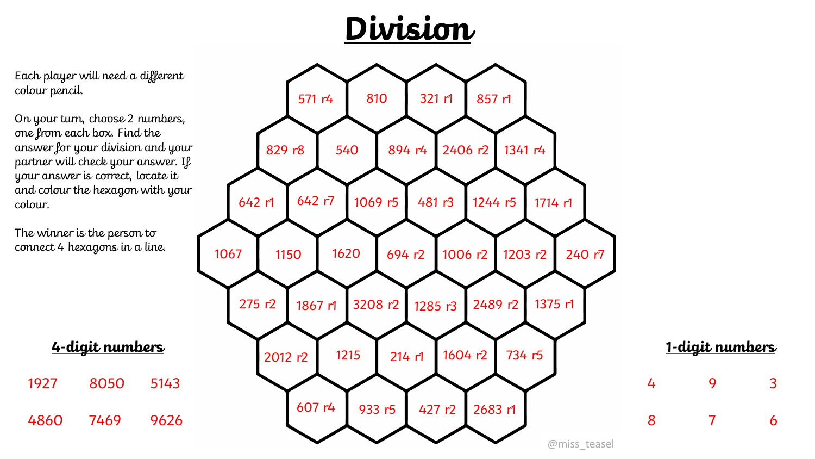



On your turn, choose 2 numbers, one from each box. Find the answer for your division and your partner will check your answer. If your answer is correct, locate it and colour the hexagon with your colour.

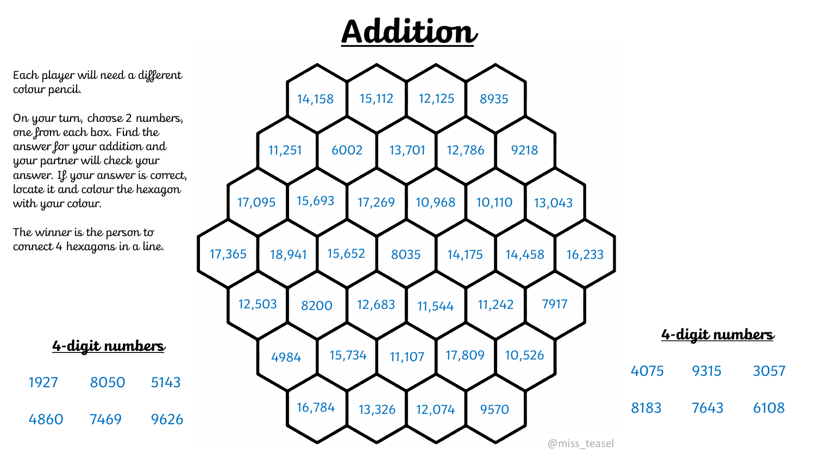



Each player will need a different colour pencil.

On your turn, choose 2 numbers, one from each box. Find the answer for your addition and your partner will check your answer. If your answer is correct, locate it and colour the hexagon with your colour.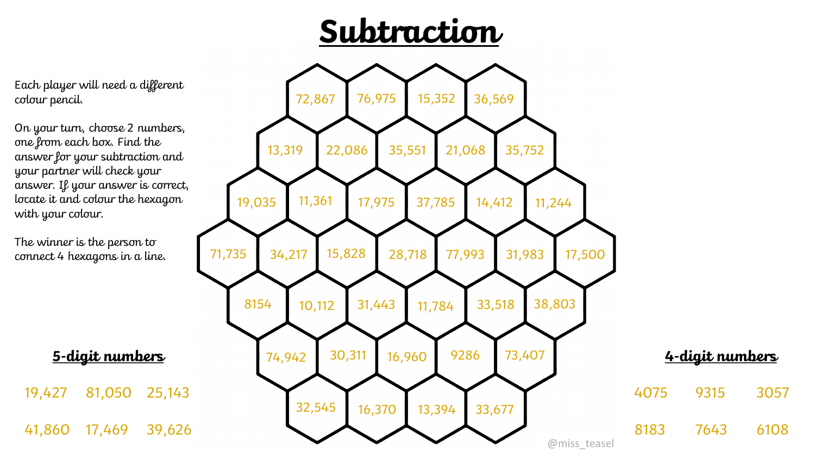## **Subtraction**



Each player will need a different colour pencil.

On your turn, choose 2 numbers, one from each box. Find the answer for your subtraction and your partner will check your answer. If your answer is correct, locate it and colour the hexagon with your colour.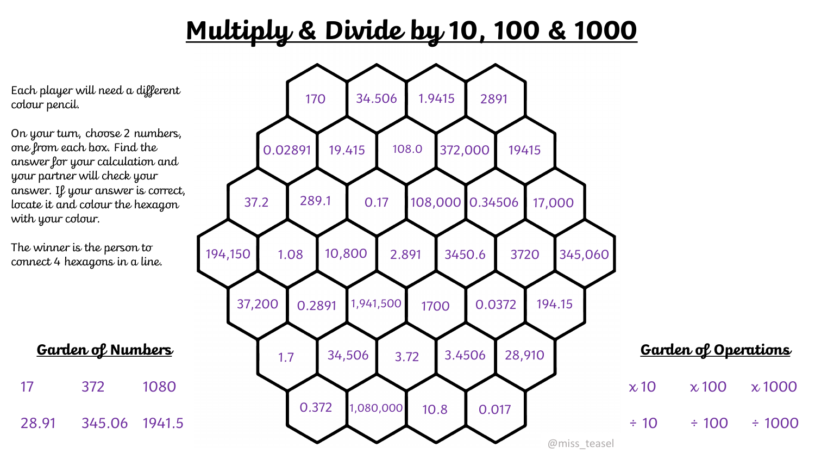## **Multiply & Divide by 10, 100 & 1000**

Each player will need a different colour pencil.

On your turn, choose 2 numbers, one from each box. Find the answer for your calculation and your partner will check your answer. If your answer is correct, locate it and colour the hexagon with your colour.